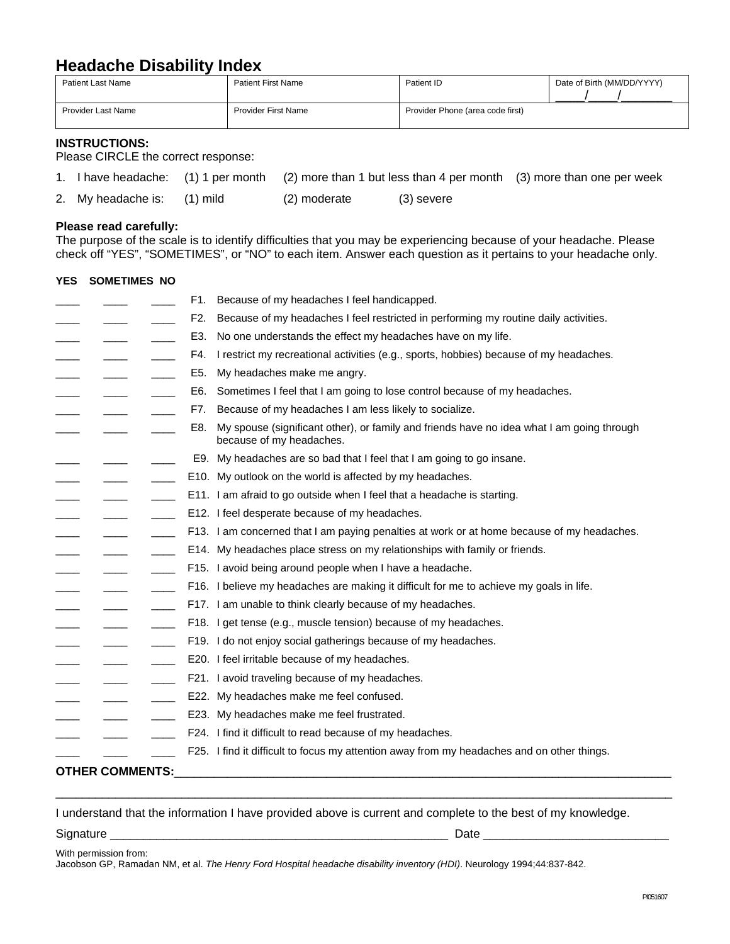# **Headache Disability Index**

| Patient ID<br>Date of Birth (MM/DD/YYYY)<br><b>Patient First Name</b> |  |  |
|-----------------------------------------------------------------------|--|--|
|                                                                       |  |  |
| Provider Phone (area code first)<br><b>Provider First Name</b>        |  |  |
|                                                                       |  |  |

#### **INSTRUCTIONS:**

Please CIRCLE the correct response:

|                             |              |            | 1. I have headache: (1) 1 per month (2) more than 1 but less than 4 per month (3) more than one per week |
|-----------------------------|--------------|------------|----------------------------------------------------------------------------------------------------------|
| 2. My headache is: (1) mild | (2) moderate | (3) severe |                                                                                                          |

#### **Please read carefully:**

The purpose of the scale is to identify difficulties that you may be experiencing because of your headache. Please check off "YES", "SOMETIMES", or "NO" to each item. Answer each question as it pertains to your headache only.

| <b>YES</b> | <b>SOMETIMES NO</b>    |     |                                                                                                                       |
|------------|------------------------|-----|-----------------------------------------------------------------------------------------------------------------------|
|            |                        | F1. | Because of my headaches I feel handicapped.                                                                           |
|            |                        | F2. | Because of my headaches I feel restricted in performing my routine daily activities.                                  |
|            |                        | E3. | No one understands the effect my headaches have on my life.                                                           |
|            |                        | F4. | I restrict my recreational activities (e.g., sports, hobbies) because of my headaches.                                |
|            |                        | E5. | My headaches make me angry.                                                                                           |
|            |                        | E6. | Sometimes I feel that I am going to lose control because of my headaches.                                             |
|            |                        | F7. | Because of my headaches I am less likely to socialize.                                                                |
|            |                        | E8. | My spouse (significant other), or family and friends have no idea what I am going through<br>because of my headaches. |
|            |                        |     | E9. My headaches are so bad that I feel that I am going to go insane.                                                 |
|            |                        |     | E10. My outlook on the world is affected by my headaches.                                                             |
|            |                        |     | E11. I am afraid to go outside when I feel that a headache is starting.                                               |
|            |                        |     | E12. I feel desperate because of my headaches.                                                                        |
|            |                        |     | F13. I am concerned that I am paying penalties at work or at home because of my headaches.                            |
|            |                        |     | E14. My headaches place stress on my relationships with family or friends.                                            |
|            |                        |     | F15. I avoid being around people when I have a headache.                                                              |
|            |                        |     | F16. I believe my headaches are making it difficult for me to achieve my goals in life.                               |
|            |                        |     | F17. I am unable to think clearly because of my headaches.                                                            |
|            |                        |     | F18. I get tense (e.g., muscle tension) because of my headaches.                                                      |
|            |                        |     | F19. I do not enjoy social gatherings because of my headaches.                                                        |
|            |                        |     | E20. I feel irritable because of my headaches.                                                                        |
|            |                        |     | F21. I avoid traveling because of my headaches.                                                                       |
|            |                        |     | E22. My headaches make me feel confused.                                                                              |
|            |                        |     | E23. My headaches make me feel frustrated.                                                                            |
|            |                        |     | F24. I find it difficult to read because of my headaches.                                                             |
|            |                        |     | F25. I find it difficult to focus my attention away from my headaches and on other things.                            |
|            | <b>OTHER COMMENTS:</b> |     |                                                                                                                       |

I understand that the information I have provided above is current and complete to the best of my knowledge.

 $\_$  ,  $\_$  ,  $\_$  ,  $\_$  ,  $\_$  ,  $\_$  ,  $\_$  ,  $\_$  ,  $\_$  ,  $\_$  ,  $\_$  ,  $\_$  ,  $\_$  ,  $\_$  ,  $\_$  ,  $\_$  ,  $\_$  ,  $\_$  ,  $\_$  ,  $\_$  ,  $\_$  ,  $\_$  ,  $\_$  ,  $\_$  ,  $\_$  ,  $\_$  ,  $\_$  ,  $\_$  ,  $\_$  ,  $\_$  ,  $\_$  ,  $\_$  ,  $\_$  ,  $\_$  ,  $\_$  ,  $\_$  ,  $\_$  ,

Signature \_\_\_\_\_\_\_\_\_\_\_\_\_\_\_\_\_\_\_\_\_\_\_\_\_\_\_\_\_\_\_\_\_\_\_\_\_\_\_\_\_\_\_\_\_\_\_\_\_\_\_ Date \_\_\_\_\_\_\_\_\_\_\_\_\_\_\_\_\_\_\_\_\_\_\_\_\_\_\_\_

With permission from:

Jacobson GP, Ramadan NM, et al. *The Henry Ford Hospital headache disability inventory (HDI)*. Neurology 1994;44:837-842.